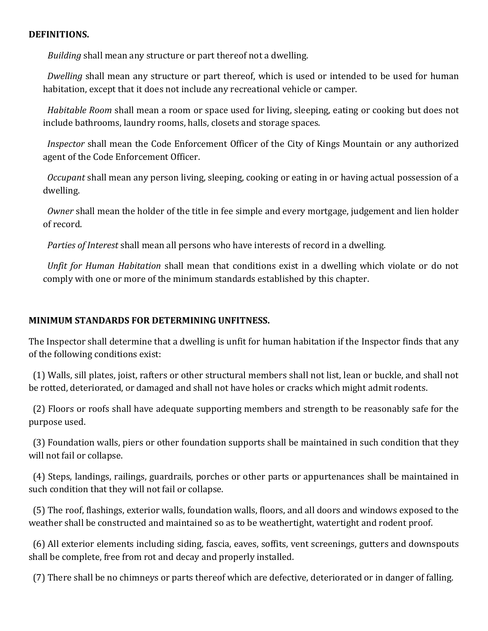## **DEFINITIONS.**

*Building* shall mean any structure or part thereof not a dwelling.

 *Dwelling* shall mean any structure or part thereof, which is used or intended to be used for human habitation, except that it does not include any recreational vehicle or camper.

 *Habitable Room* shall mean a room or space used for living, sleeping, eating or cooking but does not include bathrooms, laundry rooms, halls, closets and storage spaces.

 *Inspector* shall mean the Code Enforcement Officer of the City of Kings Mountain or any authorized agent of the Code Enforcement Officer.

 *Occupant* shall mean any person living, sleeping, cooking or eating in or having actual possession of a dwelling.

 *Owner* shall mean the holder of the title in fee simple and every mortgage, judgement and lien holder of record.

 *Parties of Interest* shall mean all persons who have interests of record in a dwelling.

 *Unfit for Human Habitation* shall mean that conditions exist in a dwelling which violate or do not comply with one or more of the minimum standards established by this chapter.

## **MINIMUM STANDARDS FOR DETERMINING UNFITNESS.**

The Inspector shall determine that a dwelling is unfit for human habitation if the Inspector finds that any of the following conditions exist:

 (1) Walls, sill plates, joist, rafters or other structural members shall not list, lean or buckle, and shall not be rotted, deteriorated, or damaged and shall not have holes or cracks which might admit rodents.

 (2) Floors or roofs shall have adequate supporting members and strength to be reasonably safe for the purpose used.

 (3) Foundation walls, piers or other foundation supports shall be maintained in such condition that they will not fail or collapse.

 (4) Steps, landings, railings, guardrails, porches or other parts or appurtenances shall be maintained in such condition that they will not fail or collapse.

 (5) The roof, flashings, exterior walls, foundation walls, floors, and all doors and windows exposed to the weather shall be constructed and maintained so as to be weathertight, watertight and rodent proof.

 (6) All exterior elements including siding, fascia, eaves, soffits, vent screenings, gutters and downspouts shall be complete, free from rot and decay and properly installed.

(7) There shall be no chimneys or parts thereof which are defective, deteriorated or in danger of falling.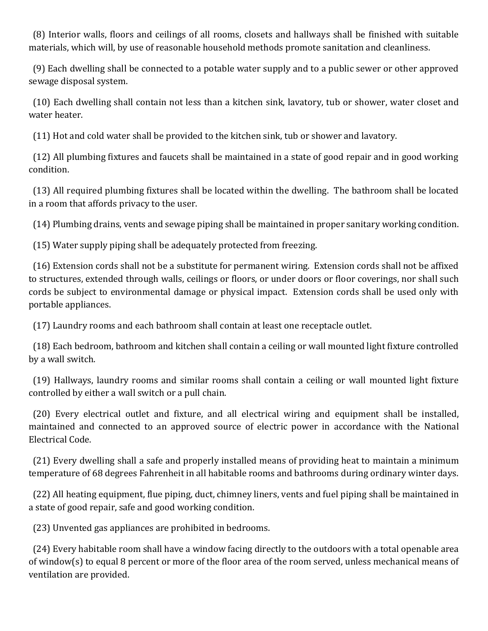(8) Interior walls, floors and ceilings of all rooms, closets and hallways shall be finished with suitable materials, which will, by use of reasonable household methods promote sanitation and cleanliness.

 (9) Each dwelling shall be connected to a potable water supply and to a public sewer or other approved sewage disposal system.

 (10) Each dwelling shall contain not less than a kitchen sink, lavatory, tub or shower, water closet and water heater.

(11) Hot and cold water shall be provided to the kitchen sink, tub or shower and lavatory.

 (12) All plumbing fixtures and faucets shall be maintained in a state of good repair and in good working condition.

 (13) All required plumbing fixtures shall be located within the dwelling. The bathroom shall be located in a room that affords privacy to the user.

(14) Plumbing drains, vents and sewage piping shall be maintained in proper sanitary working condition.

(15) Water supply piping shall be adequately protected from freezing.

 (16) Extension cords shall not be a substitute for permanent wiring. Extension cords shall not be affixed to structures, extended through walls, ceilings or floors, or under doors or floor coverings, nor shall such cords be subject to environmental damage or physical impact. Extension cords shall be used only with portable appliances.

(17) Laundry rooms and each bathroom shall contain at least one receptacle outlet.

 (18) Each bedroom, bathroom and kitchen shall contain a ceiling or wall mounted light fixture controlled by a wall switch.

 (19) Hallways, laundry rooms and similar rooms shall contain a ceiling or wall mounted light fixture controlled by either a wall switch or a pull chain.

 (20) Every electrical outlet and fixture, and all electrical wiring and equipment shall be installed, maintained and connected to an approved source of electric power in accordance with the National Electrical Code.

 (21) Every dwelling shall a safe and properly installed means of providing heat to maintain a minimum temperature of 68 degrees Fahrenheit in all habitable rooms and bathrooms during ordinary winter days.

 (22) All heating equipment, flue piping, duct, chimney liners, vents and fuel piping shall be maintained in a state of good repair, safe and good working condition.

(23) Unvented gas appliances are prohibited in bedrooms.

 (24) Every habitable room shall have a window facing directly to the outdoors with a total openable area of window(s) to equal 8 percent or more of the floor area of the room served, unless mechanical means of ventilation are provided.